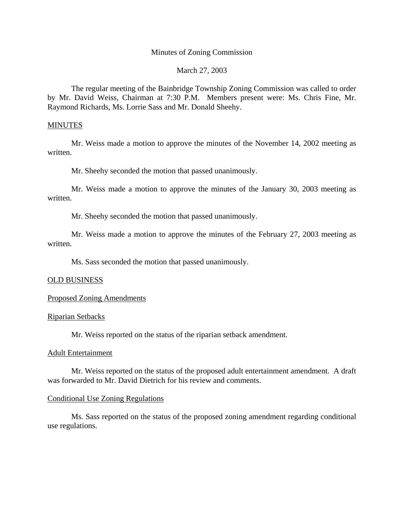## Minutes of Zoning Commission

# March 27, 2003

 The regular meeting of the Bainbridge Township Zoning Commission was called to order by Mr. David Weiss, Chairman at 7:30 P.M. Members present were: Ms. Chris Fine, Mr. Raymond Richards, Ms. Lorrie Sass and Mr. Donald Sheehy.

## **MINUTES**

 Mr. Weiss made a motion to approve the minutes of the November 14, 2002 meeting as written.

Mr. Sheehy seconded the motion that passed unanimously.

Mr. Weiss made a motion to approve the minutes of the January 30, 2003 meeting as written.

Mr. Sheehy seconded the motion that passed unanimously.

Mr. Weiss made a motion to approve the minutes of the February 27, 2003 meeting as written.

Ms. Sass seconded the motion that passed unanimously.

## OLD BUSINESS

## Proposed Zoning Amendments

## Riparian Setbacks

Mr. Weiss reported on the status of the riparian setback amendment.

## Adult Entertainment

 Mr. Weiss reported on the status of the proposed adult entertainment amendment. A draft was forwarded to Mr. David Dietrich for his review and comments.

## Conditional Use Zoning Regulations

 Ms. Sass reported on the status of the proposed zoning amendment regarding conditional use regulations.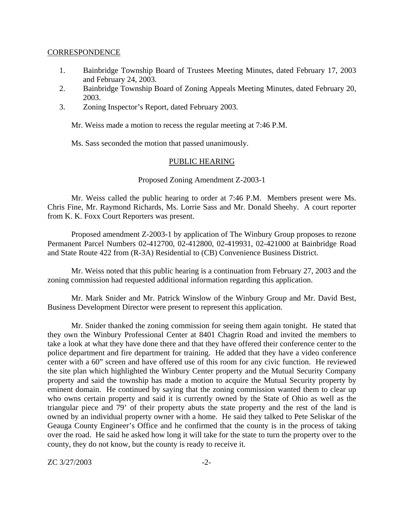#### CORRESPONDENCE

- 1. Bainbridge Township Board of Trustees Meeting Minutes, dated February 17, 2003 and February 24, 2003.
- 2. Bainbridge Township Board of Zoning Appeals Meeting Minutes, dated February 20, 2003.
- 3. Zoning Inspector's Report, dated February 2003.

Mr. Weiss made a motion to recess the regular meeting at 7:46 P.M.

Ms. Sass seconded the motion that passed unanimously.

## PUBLIC HEARING

## Proposed Zoning Amendment Z-2003-1

 Mr. Weiss called the public hearing to order at 7:46 P.M. Members present were Ms. Chris Fine, Mr. Raymond Richards, Ms. Lorrie Sass and Mr. Donald Sheehy. A court reporter from K. K. Foxx Court Reporters was present.

 Proposed amendment Z-2003-1 by application of The Winbury Group proposes to rezone Permanent Parcel Numbers 02-412700, 02-412800, 02-419931, 02-421000 at Bainbridge Road and State Route 422 from (R-3A) Residential to (CB) Convenience Business District.

 Mr. Weiss noted that this public hearing is a continuation from February 27, 2003 and the zoning commission had requested additional information regarding this application.

 Mr. Mark Snider and Mr. Patrick Winslow of the Winbury Group and Mr. David Best, Business Development Director were present to represent this application.

 Mr. Snider thanked the zoning commission for seeing them again tonight. He stated that they own the Winbury Professional Center at 8401 Chagrin Road and invited the members to take a look at what they have done there and that they have offered their conference center to the police department and fire department for training. He added that they have a video conference center with a 60" screen and have offered use of this room for any civic function. He reviewed the site plan which highlighted the Winbury Center property and the Mutual Security Company property and said the township has made a motion to acquire the Mutual Security property by eminent domain. He continued by saying that the zoning commission wanted them to clear up who owns certain property and said it is currently owned by the State of Ohio as well as the triangular piece and 79' of their property abuts the state property and the rest of the land is owned by an individual property owner with a home. He said they talked to Pete Seliskar of the Geauga County Engineer's Office and he confirmed that the county is in the process of taking over the road. He said he asked how long it will take for the state to turn the property over to the county, they do not know, but the county is ready to receive it.

ZC 3/27/2003 -2-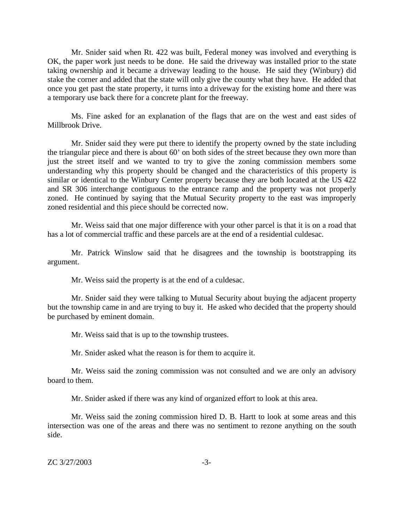Mr. Snider said when Rt. 422 was built, Federal money was involved and everything is OK, the paper work just needs to be done. He said the driveway was installed prior to the state taking ownership and it became a driveway leading to the house. He said they (Winbury) did stake the corner and added that the state will only give the county what they have. He added that once you get past the state property, it turns into a driveway for the existing home and there was a temporary use back there for a concrete plant for the freeway.

 Ms. Fine asked for an explanation of the flags that are on the west and east sides of Millbrook Drive.

 Mr. Snider said they were put there to identify the property owned by the state including the triangular piece and there is about 60' on both sides of the street because they own more than just the street itself and we wanted to try to give the zoning commission members some understanding why this property should be changed and the characteristics of this property is similar or identical to the Winbury Center property because they are both located at the US 422 and SR 306 interchange contiguous to the entrance ramp and the property was not properly zoned. He continued by saying that the Mutual Security property to the east was improperly zoned residential and this piece should be corrected now.

 Mr. Weiss said that one major difference with your other parcel is that it is on a road that has a lot of commercial traffic and these parcels are at the end of a residential culdesac.

 Mr. Patrick Winslow said that he disagrees and the township is bootstrapping its argument.

Mr. Weiss said the property is at the end of a culdesac.

 Mr. Snider said they were talking to Mutual Security about buying the adjacent property but the township came in and are trying to buy it. He asked who decided that the property should be purchased by eminent domain.

Mr. Weiss said that is up to the township trustees.

Mr. Snider asked what the reason is for them to acquire it.

 Mr. Weiss said the zoning commission was not consulted and we are only an advisory board to them.

Mr. Snider asked if there was any kind of organized effort to look at this area.

 Mr. Weiss said the zoning commission hired D. B. Hartt to look at some areas and this intersection was one of the areas and there was no sentiment to rezone anything on the south side.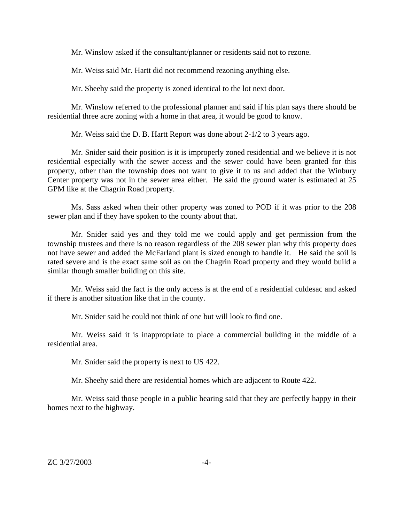Mr. Winslow asked if the consultant/planner or residents said not to rezone.

Mr. Weiss said Mr. Hartt did not recommend rezoning anything else.

Mr. Sheehy said the property is zoned identical to the lot next door.

 Mr. Winslow referred to the professional planner and said if his plan says there should be residential three acre zoning with a home in that area, it would be good to know.

Mr. Weiss said the D. B. Hartt Report was done about 2-1/2 to 3 years ago.

 Mr. Snider said their position is it is improperly zoned residential and we believe it is not residential especially with the sewer access and the sewer could have been granted for this property, other than the township does not want to give it to us and added that the Winbury Center property was not in the sewer area either. He said the ground water is estimated at 25 GPM like at the Chagrin Road property.

 Ms. Sass asked when their other property was zoned to POD if it was prior to the 208 sewer plan and if they have spoken to the county about that.

 Mr. Snider said yes and they told me we could apply and get permission from the township trustees and there is no reason regardless of the 208 sewer plan why this property does not have sewer and added the McFarland plant is sized enough to handle it. He said the soil is rated severe and is the exact same soil as on the Chagrin Road property and they would build a similar though smaller building on this site.

 Mr. Weiss said the fact is the only access is at the end of a residential culdesac and asked if there is another situation like that in the county.

Mr. Snider said he could not think of one but will look to find one.

 Mr. Weiss said it is inappropriate to place a commercial building in the middle of a residential area.

Mr. Snider said the property is next to US 422.

Mr. Sheehy said there are residential homes which are adjacent to Route 422.

 Mr. Weiss said those people in a public hearing said that they are perfectly happy in their homes next to the highway.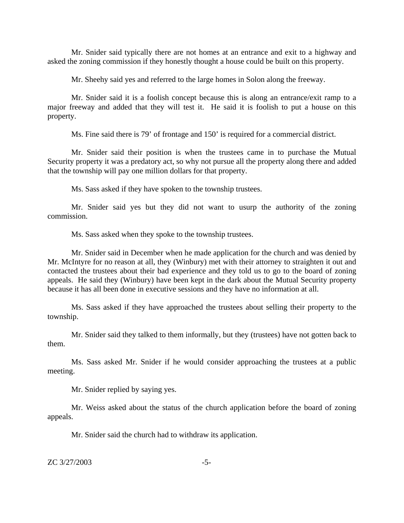Mr. Snider said typically there are not homes at an entrance and exit to a highway and asked the zoning commission if they honestly thought a house could be built on this property.

Mr. Sheehy said yes and referred to the large homes in Solon along the freeway.

 Mr. Snider said it is a foolish concept because this is along an entrance/exit ramp to a major freeway and added that they will test it. He said it is foolish to put a house on this property.

Ms. Fine said there is 79' of frontage and 150' is required for a commercial district.

 Mr. Snider said their position is when the trustees came in to purchase the Mutual Security property it was a predatory act, so why not pursue all the property along there and added that the township will pay one million dollars for that property.

Ms. Sass asked if they have spoken to the township trustees.

 Mr. Snider said yes but they did not want to usurp the authority of the zoning commission.

Ms. Sass asked when they spoke to the township trustees.

 Mr. Snider said in December when he made application for the church and was denied by Mr. McIntyre for no reason at all, they (Winbury) met with their attorney to straighten it out and contacted the trustees about their bad experience and they told us to go to the board of zoning appeals. He said they (Winbury) have been kept in the dark about the Mutual Security property because it has all been done in executive sessions and they have no information at all.

 Ms. Sass asked if they have approached the trustees about selling their property to the township.

 Mr. Snider said they talked to them informally, but they (trustees) have not gotten back to them.

 Ms. Sass asked Mr. Snider if he would consider approaching the trustees at a public meeting.

Mr. Snider replied by saying yes.

 Mr. Weiss asked about the status of the church application before the board of zoning appeals.

Mr. Snider said the church had to withdraw its application.

ZC 3/27/2003 -5-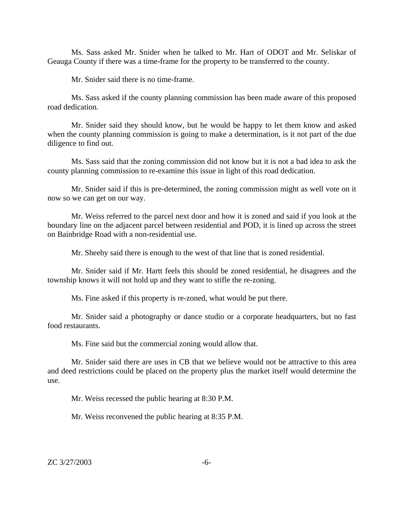Ms. Sass asked Mr. Snider when he talked to Mr. Hart of ODOT and Mr. Seliskar of Geauga County if there was a time-frame for the property to be transferred to the county.

Mr. Snider said there is no time-frame.

 Ms. Sass asked if the county planning commission has been made aware of this proposed road dedication.

 Mr. Snider said they should know, but he would be happy to let them know and asked when the county planning commission is going to make a determination, is it not part of the due diligence to find out.

 Ms. Sass said that the zoning commission did not know but it is not a bad idea to ask the county planning commission to re-examine this issue in light of this road dedication.

 Mr. Snider said if this is pre-determined, the zoning commission might as well vote on it now so we can get on our way.

 Mr. Weiss referred to the parcel next door and how it is zoned and said if you look at the boundary line on the adjacent parcel between residential and POD, it is lined up across the street on Bainbridge Road with a non-residential use.

Mr. Sheehy said there is enough to the west of that line that is zoned residential.

 Mr. Snider said if Mr. Hartt feels this should be zoned residential, he disagrees and the township knows it will not hold up and they want to stifle the re-zoning.

Ms. Fine asked if this property is re-zoned, what would be put there.

 Mr. Snider said a photography or dance studio or a corporate headquarters, but no fast food restaurants.

Ms. Fine said but the commercial zoning would allow that.

 Mr. Snider said there are uses in CB that we believe would not be attractive to this area and deed restrictions could be placed on the property plus the market itself would determine the use.

Mr. Weiss recessed the public hearing at 8:30 P.M.

Mr. Weiss reconvened the public hearing at 8:35 P.M.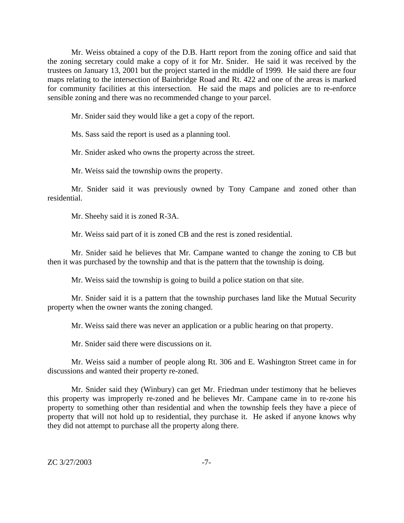Mr. Weiss obtained a copy of the D.B. Hartt report from the zoning office and said that the zoning secretary could make a copy of it for Mr. Snider. He said it was received by the trustees on January 13, 2001 but the project started in the middle of 1999. He said there are four maps relating to the intersection of Bainbridge Road and Rt. 422 and one of the areas is marked for community facilities at this intersection. He said the maps and policies are to re-enforce sensible zoning and there was no recommended change to your parcel.

Mr. Snider said they would like a get a copy of the report.

Ms. Sass said the report is used as a planning tool.

Mr. Snider asked who owns the property across the street.

Mr. Weiss said the township owns the property.

 Mr. Snider said it was previously owned by Tony Campane and zoned other than residential.

Mr. Sheehy said it is zoned R-3A.

Mr. Weiss said part of it is zoned CB and the rest is zoned residential.

 Mr. Snider said he believes that Mr. Campane wanted to change the zoning to CB but then it was purchased by the township and that is the pattern that the township is doing.

Mr. Weiss said the township is going to build a police station on that site.

 Mr. Snider said it is a pattern that the township purchases land like the Mutual Security property when the owner wants the zoning changed.

Mr. Weiss said there was never an application or a public hearing on that property.

Mr. Snider said there were discussions on it.

 Mr. Weiss said a number of people along Rt. 306 and E. Washington Street came in for discussions and wanted their property re-zoned.

 Mr. Snider said they (Winbury) can get Mr. Friedman under testimony that he believes this property was improperly re-zoned and he believes Mr. Campane came in to re-zone his property to something other than residential and when the township feels they have a piece of property that will not hold up to residential, they purchase it. He asked if anyone knows why they did not attempt to purchase all the property along there.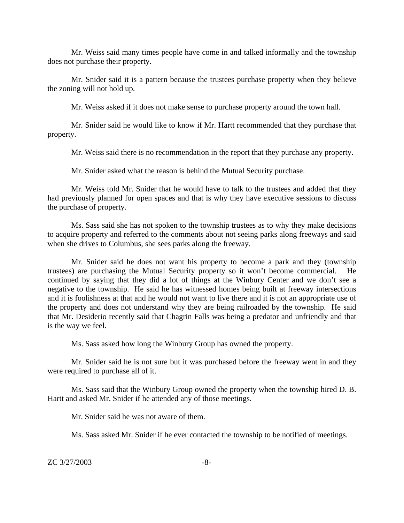Mr. Weiss said many times people have come in and talked informally and the township does not purchase their property.

 Mr. Snider said it is a pattern because the trustees purchase property when they believe the zoning will not hold up.

Mr. Weiss asked if it does not make sense to purchase property around the town hall.

 Mr. Snider said he would like to know if Mr. Hartt recommended that they purchase that property.

Mr. Weiss said there is no recommendation in the report that they purchase any property.

Mr. Snider asked what the reason is behind the Mutual Security purchase.

 Mr. Weiss told Mr. Snider that he would have to talk to the trustees and added that they had previously planned for open spaces and that is why they have executive sessions to discuss the purchase of property.

 Ms. Sass said she has not spoken to the township trustees as to why they make decisions to acquire property and referred to the comments about not seeing parks along freeways and said when she drives to Columbus, she sees parks along the freeway.

 Mr. Snider said he does not want his property to become a park and they (township trustees) are purchasing the Mutual Security property so it won't become commercial. He continued by saying that they did a lot of things at the Winbury Center and we don't see a negative to the township. He said he has witnessed homes being built at freeway intersections and it is foolishness at that and he would not want to live there and it is not an appropriate use of the property and does not understand why they are being railroaded by the township. He said that Mr. Desiderio recently said that Chagrin Falls was being a predator and unfriendly and that is the way we feel.

Ms. Sass asked how long the Winbury Group has owned the property.

 Mr. Snider said he is not sure but it was purchased before the freeway went in and they were required to purchase all of it.

 Ms. Sass said that the Winbury Group owned the property when the township hired D. B. Hartt and asked Mr. Snider if he attended any of those meetings.

Mr. Snider said he was not aware of them.

Ms. Sass asked Mr. Snider if he ever contacted the township to be notified of meetings.

ZC 3/27/2003 -8-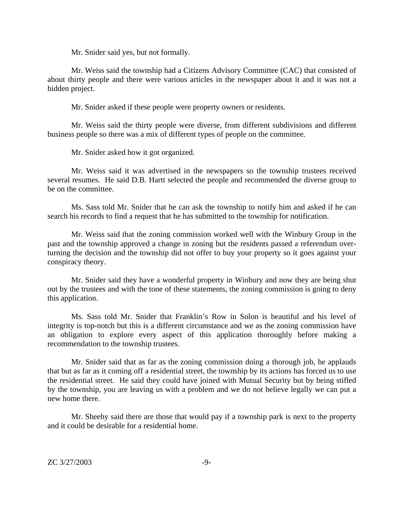Mr. Snider said yes, but not formally.

 Mr. Weiss said the township had a Citizens Advisory Committee (CAC) that consisted of about thirty people and there were various articles in the newspaper about it and it was not a hidden project.

Mr. Snider asked if these people were property owners or residents.

 Mr. Weiss said the thirty people were diverse, from different subdivisions and different business people so there was a mix of different types of people on the committee.

Mr. Snider asked how it got organized.

 Mr. Weiss said it was advertised in the newspapers so the township trustees received several resumes. He said D.B. Hartt selected the people and recommended the diverse group to be on the committee.

 Ms. Sass told Mr. Snider that he can ask the township to notify him and asked if he can search his records to find a request that he has submitted to the township for notification.

 Mr. Weiss said that the zoning commission worked well with the Winbury Group in the past and the township approved a change in zoning but the residents passed a referendum overturning the decision and the township did not offer to buy your property so it goes against your conspiracy theory.

 Mr. Snider said they have a wonderful property in Winbury and now they are being shut out by the trustees and with the tone of these statements, the zoning commission is going to deny this application.

 Ms. Sass told Mr. Snider that Franklin's Row in Solon is beautiful and his level of integrity is top-notch but this is a different circumstance and we as the zoning commission have an obligation to explore every aspect of this application thoroughly before making a recommendation to the township trustees.

 Mr. Snider said that as far as the zoning commission doing a thorough job, he applauds that but as far as it coming off a residential street, the township by its actions has forced us to use the residential street. He said they could have joined with Mutual Security but by being stifled by the township, you are leaving us with a problem and we do not believe legally we can put a new home there.

 Mr. Sheehy said there are those that would pay if a township park is next to the property and it could be desirable for a residential home.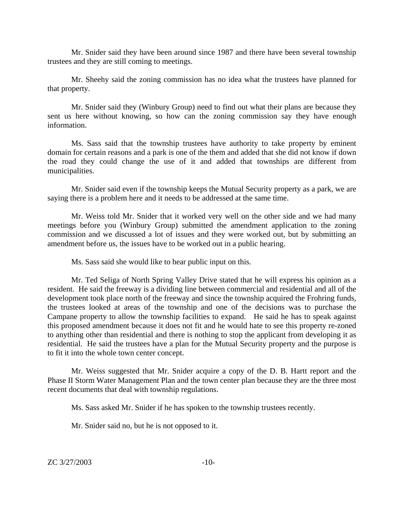Mr. Snider said they have been around since 1987 and there have been several township trustees and they are still coming to meetings.

 Mr. Sheehy said the zoning commission has no idea what the trustees have planned for that property.

 Mr. Snider said they (Winbury Group) need to find out what their plans are because they sent us here without knowing, so how can the zoning commission say they have enough information.

 Ms. Sass said that the township trustees have authority to take property by eminent domain for certain reasons and a park is one of the them and added that she did not know if down the road they could change the use of it and added that townships are different from municipalities.

 Mr. Snider said even if the township keeps the Mutual Security property as a park, we are saying there is a problem here and it needs to be addressed at the same time.

Mr. Weiss told Mr. Snider that it worked very well on the other side and we had many meetings before you (Winbury Group) submitted the amendment application to the zoning commission and we discussed a lot of issues and they were worked out, but by submitting an amendment before us, the issues have to be worked out in a public hearing.

Ms. Sass said she would like to hear public input on this.

Mr. Ted Seliga of North Spring Valley Drive stated that he will express his opinion as a resident. He said the freeway is a dividing line between commercial and residential and all of the development took place north of the freeway and since the township acquired the Frohring funds, the trustees looked at areas of the township and one of the decisions was to purchase the Campane property to allow the township facilities to expand. He said he has to speak against this proposed amendment because it does not fit and he would hate to see this property re-zoned to anything other than residential and there is nothing to stop the applicant from developing it as residential. He said the trustees have a plan for the Mutual Security property and the purpose is to fit it into the whole town center concept.

Mr. Weiss suggested that Mr. Snider acquire a copy of the D. B. Hartt report and the Phase II Storm Water Management Plan and the town center plan because they are the three most recent documents that deal with township regulations.

Ms. Sass asked Mr. Snider if he has spoken to the township trustees recently.

Mr. Snider said no, but he is not opposed to it.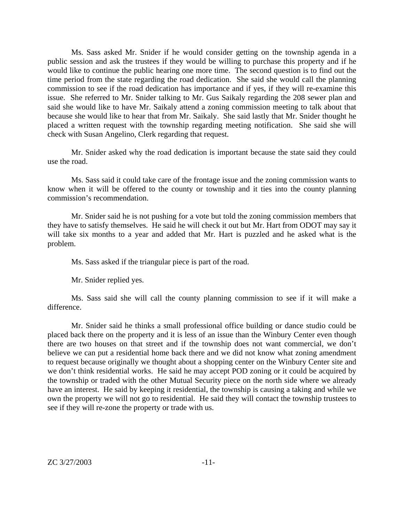Ms. Sass asked Mr. Snider if he would consider getting on the township agenda in a public session and ask the trustees if they would be willing to purchase this property and if he would like to continue the public hearing one more time. The second question is to find out the time period from the state regarding the road dedication. She said she would call the planning commission to see if the road dedication has importance and if yes, if they will re-examine this issue. She referred to Mr. Snider talking to Mr. Gus Saikaly regarding the 208 sewer plan and said she would like to have Mr. Saikaly attend a zoning commission meeting to talk about that because she would like to hear that from Mr. Saikaly. She said lastly that Mr. Snider thought he placed a written request with the township regarding meeting notification. She said she will check with Susan Angelino, Clerk regarding that request.

Mr. Snider asked why the road dedication is important because the state said they could use the road.

Ms. Sass said it could take care of the frontage issue and the zoning commission wants to know when it will be offered to the county or township and it ties into the county planning commission's recommendation.

Mr. Snider said he is not pushing for a vote but told the zoning commission members that they have to satisfy themselves. He said he will check it out but Mr. Hart from ODOT may say it will take six months to a year and added that Mr. Hart is puzzled and he asked what is the problem.

Ms. Sass asked if the triangular piece is part of the road.

Mr. Snider replied yes.

Ms. Sass said she will call the county planning commission to see if it will make a difference.

Mr. Snider said he thinks a small professional office building or dance studio could be placed back there on the property and it is less of an issue than the Winbury Center even though there are two houses on that street and if the township does not want commercial, we don't believe we can put a residential home back there and we did not know what zoning amendment to request because originally we thought about a shopping center on the Winbury Center site and we don't think residential works. He said he may accept POD zoning or it could be acquired by the township or traded with the other Mutual Security piece on the north side where we already have an interest. He said by keeping it residential, the township is causing a taking and while we own the property we will not go to residential. He said they will contact the township trustees to see if they will re-zone the property or trade with us.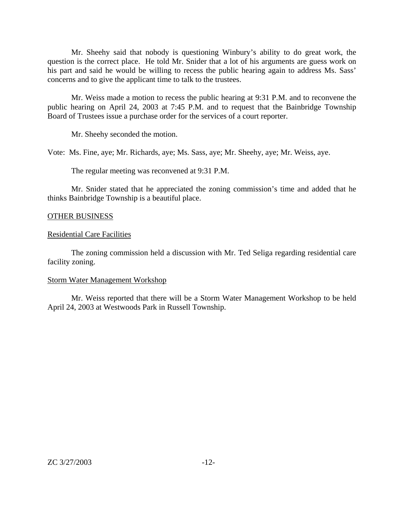Mr. Sheehy said that nobody is questioning Winbury's ability to do great work, the question is the correct place. He told Mr. Snider that a lot of his arguments are guess work on his part and said he would be willing to recess the public hearing again to address Ms. Sass' concerns and to give the applicant time to talk to the trustees.

 Mr. Weiss made a motion to recess the public hearing at 9:31 P.M. and to reconvene the public hearing on April 24, 2003 at 7:45 P.M. and to request that the Bainbridge Township Board of Trustees issue a purchase order for the services of a court reporter.

Mr. Sheehy seconded the motion.

Vote: Ms. Fine, aye; Mr. Richards, aye; Ms. Sass, aye; Mr. Sheehy, aye; Mr. Weiss, aye.

The regular meeting was reconvened at 9:31 P.M.

 Mr. Snider stated that he appreciated the zoning commission's time and added that he thinks Bainbridge Township is a beautiful place.

#### OTHER BUSINESS

#### Residential Care Facilities

 The zoning commission held a discussion with Mr. Ted Seliga regarding residential care facility zoning.

#### Storm Water Management Workshop

 Mr. Weiss reported that there will be a Storm Water Management Workshop to be held April 24, 2003 at Westwoods Park in Russell Township.